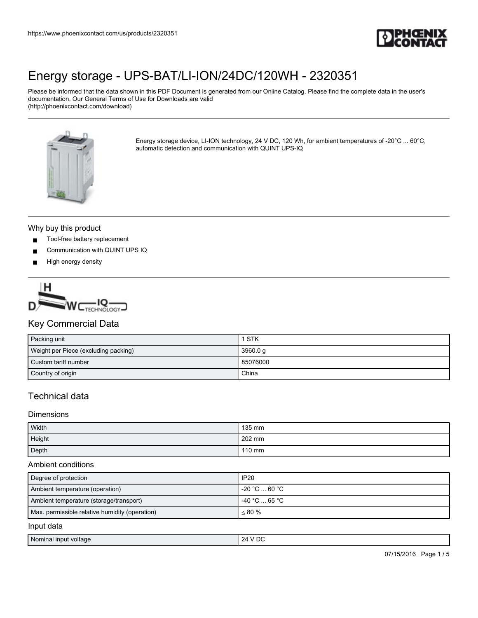

Please be informed that the data shown in this PDF Document is generated from our Online Catalog. Please find the complete data in the user's documentation. Our General Terms of Use for Downloads are valid (http://phoenixcontact.com/download)



Energy storage device, LI-ION technology, 24 V DC, 120 Wh, for ambient temperatures of -20°C ... 60°C, automatic detection and communication with QUINT UPS-IQ

#### Why buy this product

- Tool-free battery replacement
- Communication with QUINT UPS IQ
- High energy density



### Key Commercial Data

| Packing unit                         | 1 STK    |
|--------------------------------------|----------|
| Weight per Piece (excluding packing) | 3960.0 g |
| Custom tariff number                 | 85076000 |
| Country of origin                    | China    |

## Technical data

#### **Dimensions**

| Width  | 135 mm |
|--------|--------|
| Height | 202 mm |
| Depth  | 110 mm |

#### Ambient conditions

| Degree of protection                           | <b>IP20</b>   |
|------------------------------------------------|---------------|
| Ambient temperature (operation)                | -20 °C  60 °C |
| Ambient temperature (storage/transport)        | -40 °C  65 °C |
| Max. permissible relative humidity (operation) | $~< 80 \%$    |
| Input data                                     |               |
|                                                |               |

| Nominai.      | ' DC         |
|---------------|--------------|
| input voltage | ') Д         |
|               | $\mathbf{v}$ |
| $\sim$ $\sim$ |              |
|               |              |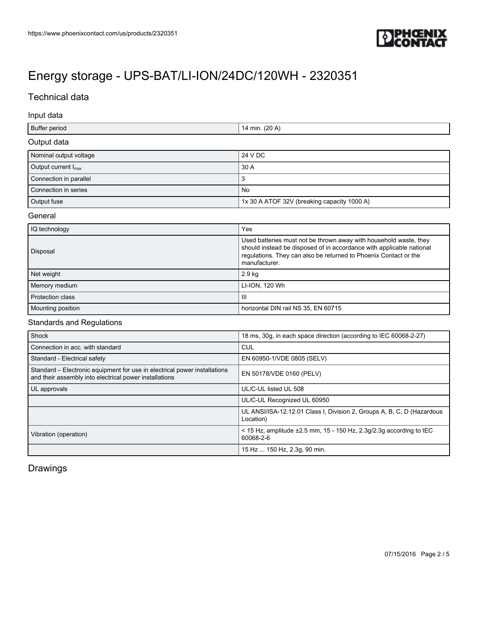

## Technical data

#### Input data

| Buffer period                   | 14 min. (20 A)                              |
|---------------------------------|---------------------------------------------|
| Output data                     |                                             |
| Nominal output voltage          | 24 V DC                                     |
| Output current $I_{\text{max}}$ | 30 A                                        |
| Connection in parallel          | 3                                           |
| Connection in series            | No                                          |
| Output fuse                     | 1x 30 A ATOF 32V (breaking capacity 1000 A) |

#### **General**

| IQ technology     | Yes                                                                                                                                                                                                                            |
|-------------------|--------------------------------------------------------------------------------------------------------------------------------------------------------------------------------------------------------------------------------|
| Disposal          | Used batteries must not be thrown away with household waste, they<br>should instead be disposed of in accordance with applicable national<br>regulations. They can also be returned to Phoenix Contact or the<br>manufacturer. |
| Net weight        | 2.9 kg                                                                                                                                                                                                                         |
| Memory medium     | LI-ION, 120 Wh                                                                                                                                                                                                                 |
| Protection class  | Ш                                                                                                                                                                                                                              |
| Mounting position | horizontal DIN rail NS 35, EN 60715                                                                                                                                                                                            |

### Standards and Regulations

| Shock                                                                                                                               | 18 ms, 30g, in each space direction (according to IEC 60068-2-27)                     |
|-------------------------------------------------------------------------------------------------------------------------------------|---------------------------------------------------------------------------------------|
| Connection in acc. with standard                                                                                                    | CUL                                                                                   |
| Standard - Electrical safety                                                                                                        | EN 60950-1/VDE 0805 (SELV)                                                            |
| Standard – Electronic equipment for use in electrical power installations<br>and their assembly into electrical power installations | EN 50178/VDE 0160 (PELV)                                                              |
| UL approvals                                                                                                                        | UL/C-UL listed UL 508                                                                 |
|                                                                                                                                     | UL/C-UL Recognized UL 60950                                                           |
|                                                                                                                                     | UL ANSI/ISA-12.12.01 Class I, Division 2, Groups A, B, C, D (Hazardous<br>Location)   |
| Vibration (operation)                                                                                                               | < 15 Hz, amplitude $\pm 2.5$ mm, 15 - 150 Hz, 2.3g/2.3g according to IEC<br>60068-2-6 |
|                                                                                                                                     | 15 Hz  150 Hz, 2.3g, 90 min.                                                          |

## Drawings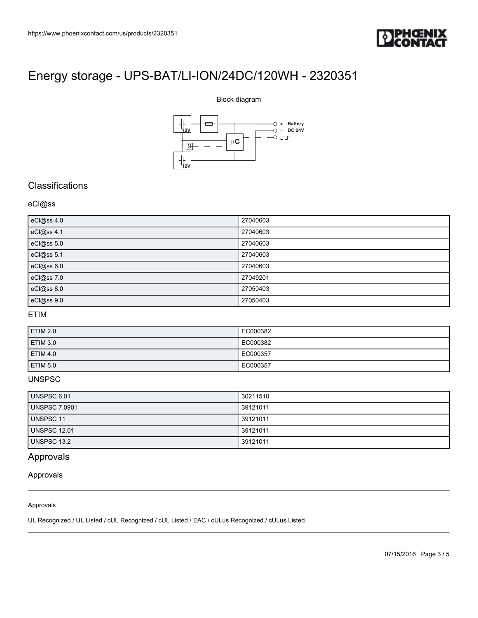

#### Block diagram



### **Classifications**

#### eCl@ss

| eCl@ss 4.0 | 27040603 |
|------------|----------|
| eCl@ss 4.1 | 27040603 |
| eCl@ss 5.0 | 27040603 |
| eCl@ss 5.1 | 27040603 |
| eCl@ss 6.0 | 27040603 |
| eCl@ss 7.0 | 27049201 |
| eCl@ss 8.0 | 27050403 |
| eCl@ss 9.0 | 27050403 |

### ETIM

| <b>ETIM 2.0</b> | EC000382 |
|-----------------|----------|
| <b>ETIM 3.0</b> | EC000382 |
| <b>ETIM 4.0</b> | EC000357 |
| <b>ETIM 5.0</b> | EC000357 |

#### UNSPSC

| UNSPSC 6.01          | 30211510 |
|----------------------|----------|
| <b>UNSPSC 7.0901</b> | 39121011 |
| UNSPSC 11            | 39121011 |
| <b>UNSPSC 12.01</b>  | 39121011 |
| <b>UNSPSC 13.2</b>   | 39121011 |

## Approvals

#### Approvals

#### Approvals

UL Recognized / UL Listed / cUL Recognized / cUL Listed / EAC / cULus Recognized / cULus Listed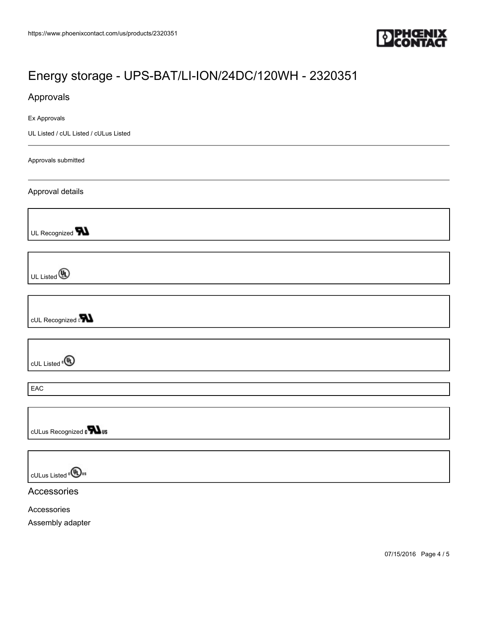

## Approvals

Ex Approvals

UL Listed / cUL Listed / cULus Listed

Approvals submitted

Approval details

UL Recognized **W** 

UL Listed **(A)** 

cUL Recognized **N** 

cUL Listed<sup>®</sup>

EAC

cULus Recognized on Tus

cULus Listed<sup>e</sub>(View</sup>

Accessories

Accessories

Assembly adapter

07/15/2016 Page 4 / 5